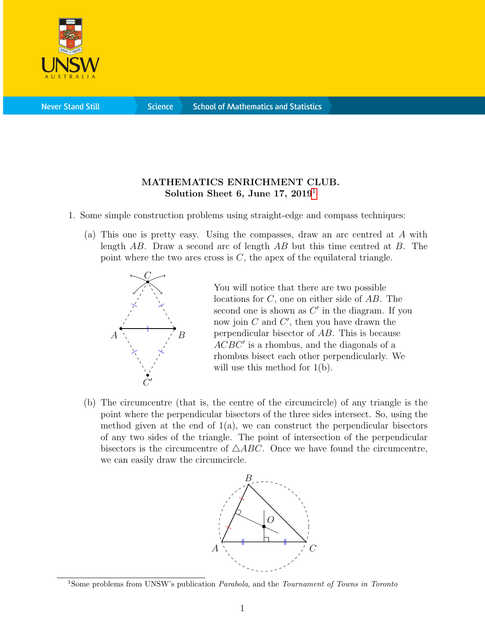

**Science** 

## MATHEMATICS ENRICHMENT CLUB. Solution Sheet 6, June [1](#page-0-0)7,  $2019<sup>1</sup>$

- 1. Some simple construction problems using straight-edge and compass techniques:
	- (a) This one is pretty easy. Using the compasses, draw an arc centred at A with length AB. Draw a second arc of length AB but this time centred at B. The point where the two arcs cross is  $C$ , the apex of the equilateral triangle.



You will notice that there are two possible locations for C, one on either side of AB. The second one is shown as  $C'$  in the diagram. If you now join  $C$  and  $C'$ , then you have drawn the perpendicular bisector of AB. This is because  $ACBC'$  is a rhombus, and the diagonals of a rhombus bisect each other perpendicularly. We will use this method for  $1(b)$ .

(b) The circumcentre (that is, the centre of the circumcircle) of any triangle is the point where the perpendicular bisectors of the three sides intersect. So, using the method given at the end of  $1(a)$ , we can construct the perpendicular bisectors of any two sides of the triangle. The point of intersection of the perpendicular bisectors is the circumcentre of  $\triangle ABC$ . Once we have found the circumcentre, we can easily draw the circumcircle.



<span id="page-0-0"></span><sup>&</sup>lt;sup>1</sup>Some problems from UNSW's publication *Parabola*, and the *Tournament of Towns in Toronto*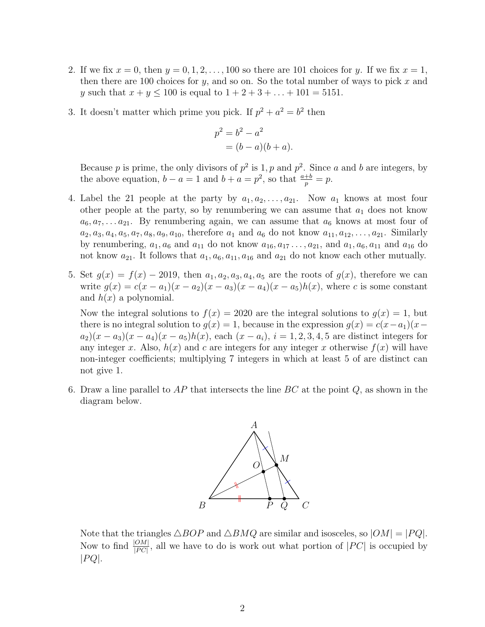- 2. If we fix  $x = 0$ , then  $y = 0, 1, 2, \ldots, 100$  so there are 101 choices for y. If we fix  $x = 1$ , then there are 100 choices for y, and so on. So the total number of ways to pick x and y such that  $x + y \le 100$  is equal to  $1 + 2 + 3 + ... + 101 = 5151$ .
- 3. It doesn't matter which prime you pick. If  $p^2 + a^2 = b^2$  then

$$
p^2 = b^2 - a^2
$$
  
=  $(b - a)(b + a)$ .

Because p is prime, the only divisors of  $p^2$  is 1, p and  $p^2$ . Since a and b are integers, by the above equation,  $b - a = 1$  and  $b + a = p^2$ , so that  $\frac{a+b}{p} = p$ .

- 4. Label the 21 people at the party by  $a_1, a_2, \ldots, a_{21}$ . Now  $a_1$  knows at most four other people at the party, so by renumbering we can assume that  $a_1$  does not know  $a_6, a_7, \ldots a_{21}$ . By renumbering again, we can assume that  $a_6$  knows at most four of  $a_2, a_3, a_4, a_5, a_7, a_8, a_9, a_{10}$ , therefore  $a_1$  and  $a_6$  do not know  $a_{11}, a_{12}, \ldots, a_{21}$ . Similarly by renumbering,  $a_1, a_6$  and  $a_{11}$  do not know  $a_{16}, a_{17}, \ldots, a_{21}$ , and  $a_1, a_6, a_{11}$  and  $a_{16}$  do not know  $a_{21}$ . It follows that  $a_1, a_6, a_{11}, a_{16}$  and  $a_{21}$  do not know each other mutually.
- 5. Set  $g(x) = f(x) 2019$ , then  $a_1, a_2, a_3, a_4, a_5$  are the roots of  $g(x)$ , therefore we can write  $g(x) = c(x - a_1)(x - a_2)(x - a_3)(x - a_4)(x - a_5)h(x)$ , where c is some constant and  $h(x)$  a polynomial.

Now the integral solutions to  $f(x) = 2020$  are the integral solutions to  $g(x) = 1$ , but there is no integral solution to  $g(x) = 1$ , because in the expression  $g(x) = c(x-a_1)(x$  $a_2(x - a_3)(x - a_4)(x - a_5)h(x)$ , each  $(x - a_i), i = 1, 2, 3, 4, 5$  are distinct integers for any integer x. Also,  $h(x)$  and c are integers for any integer x otherwise  $f(x)$  will have non-integer coefficients; multiplying 7 integers in which at least 5 of are distinct can not give 1.

6. Draw a line parallel to  $AP$  that intersects the line  $BC$  at the point  $Q$ , as shown in the diagram below.



Note that the triangles  $\triangle BOP$  and  $\triangle BMQ$  are similar and isosceles, so  $|OM| = |PQ|$ . Now to find  $\frac{|OM|}{|PC|}$ , all we have to do is work out what portion of  $|PC|$  is occupied by  $|PQ|$ .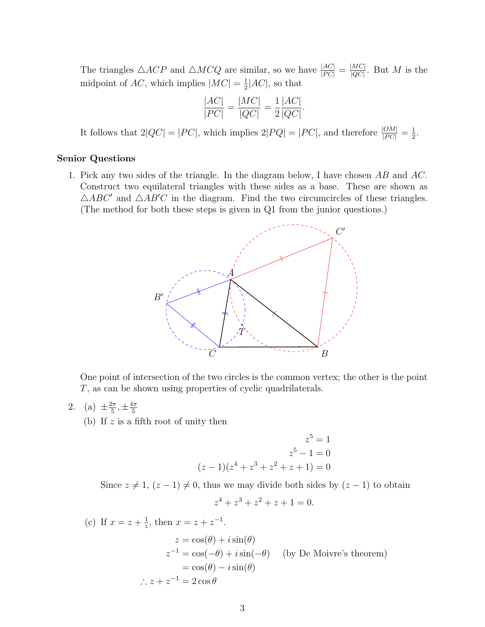The triangles  $\triangle ACP$  and  $\triangle M CQ$  are similar, so we have  $\frac{|AC|}{|PC|} = \frac{|MC|}{|QC|}$  $\frac{|MC|}{|QC|}$ . But M is the midpoint of AC, which implies  $|MC| = \frac{1}{2}$  $\frac{1}{2}$ |AC|, so that

$$
\frac{|AC|}{|PC|} = \frac{|MC|}{|QC|} = \frac{1}{2} \frac{|AC|}{|QC|}.
$$

It follows that  $2|QC| = |PC|$ , which implies  $2|PQ| = |PC|$ , and therefore  $\frac{|OM|}{|PC|} = \frac{1}{2}$  $\frac{1}{2}$ .

## Senior Questions

1. Pick any two sides of the triangle. In the diagram below, I have chosen AB and AC. Construct two equilateral triangles with these sides as a base. These are shown as  $\triangle ABC'$  and  $\triangle AB'C$  in the diagram. Find the two circumcircles of these triangles. (The method for both these steps is given in Q1 from the junior questions.)



One point of intersection of the two circles is the common vertex; the other is the point T, as can be shown using properties of cyclic quadrilaterals.

- 2. (a)  $\pm \frac{2\pi}{5}$  $\frac{2\pi}{5}, \pm \frac{4\pi}{5}$ 5
	- (b) If  $z$  is a fifth root of unity then

$$
z^{5} = 1
$$
  

$$
z^{5} - 1 = 0
$$
  

$$
(z - 1)(z^{4} + z^{3} + z^{2} + z + 1) = 0
$$

Since  $z \neq 1$ ,  $(z - 1) \neq 0$ , thus we may divide both sides by  $(z - 1)$  to obtain

$$
z^4 + z^3 + z^2 + z + 1 = 0.
$$

(c) If  $x = z + \frac{1}{z}$  $\frac{1}{z}$ , then  $x = z + z^{-1}$ .  $z = \cos(\theta) + i \sin(\theta)$  $z^{-1} = \cos(-\theta) + i\sin(-\theta)$  (by De Moivre's theorem)  $= cos(\theta) - i sin(\theta)$  $\therefore z + z^{-1} = 2 \cos \theta$